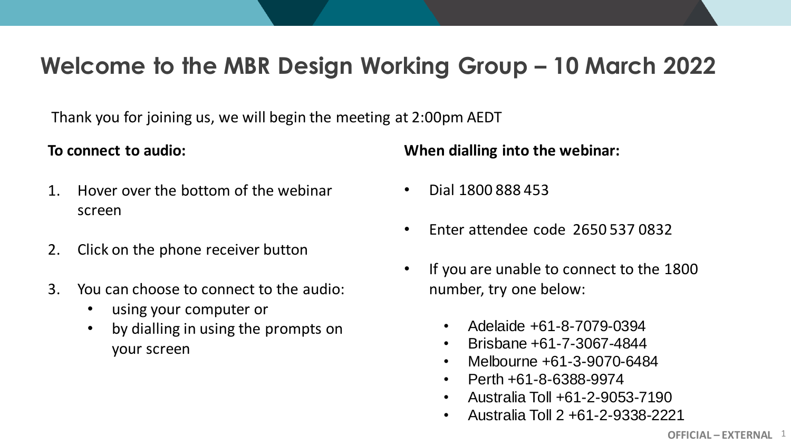### **Welcome to the MBR Design Working Group – 10 March 2022**

Thank you for joining us, we will begin the meeting at 2:00pm AEDT

### **To connect to audio:**

- 1. Hover over the bottom of the webinar screen
- 2. Click on the phone receiver button
- 3. You can choose to connect to the audio:
	- using your computer or
	- by dialling in using the prompts on your screen

**When dialling into the webinar:**

- Dial 1800 888 453
- Enter attendee code 2650 537 0832
- If you are unable to connect to the 1800 number, try one below:
	- Adelaide +61-8-7079-0394
	- Brisbane +61-7-3067-4844
	- Melbourne +61-3-9070-6484
	- Perth +61-8-6388-9974
	- Australia Toll +61-2-9053-7190
	- Australia Toll 2 +61-2-9338-2221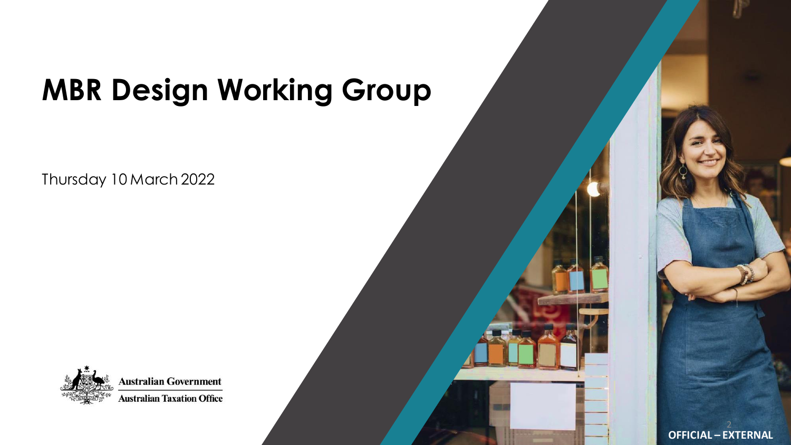# **MBR Design Working Group**

Thursday 10 March 2022



**Australian Government Australian Taxation Office**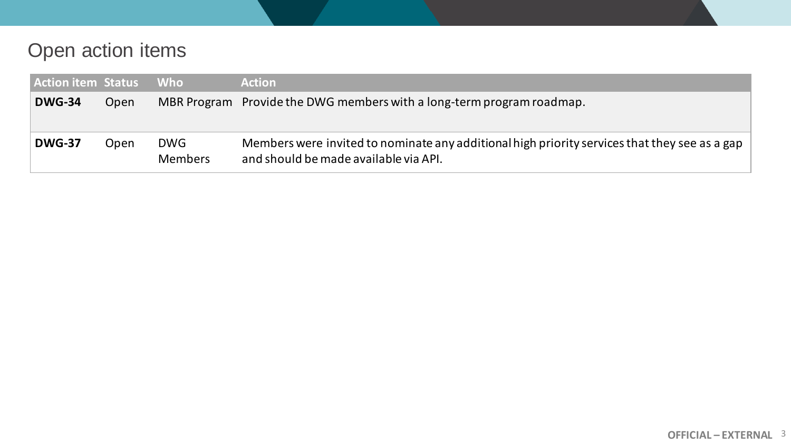### Open action items

| <b>Action item Status</b> |      | / Who                        | <b>Action</b>                                                                                                                          |
|---------------------------|------|------------------------------|----------------------------------------------------------------------------------------------------------------------------------------|
| <b>DWG-34</b>             | Open |                              | MBR Program Provide the DWG members with a long-term program roadmap.                                                                  |
| <b>DWG-37</b>             | Open | <b>DWG</b><br><b>Members</b> | Members were invited to nominate any additional high priority services that they see as a gap<br>and should be made available via API. |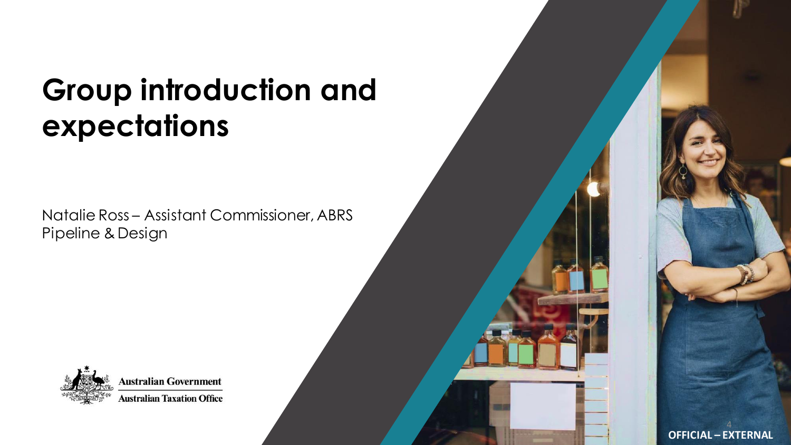## **Group introduction and expectations**

Natalie Ross – Assistant Commissioner, ABRS Pipeline & Design



**Australian Government Australian Taxation Office**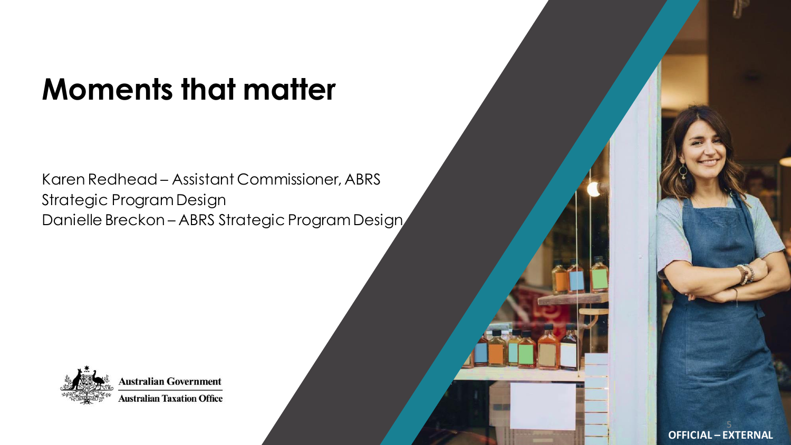# **Moments that matter**

Karen Redhead – Assistant Commissioner, ABRS Strategic Program Design Danielle Breckon – ABRS Strategic Program Design



**Australian Government Australian Taxation Office**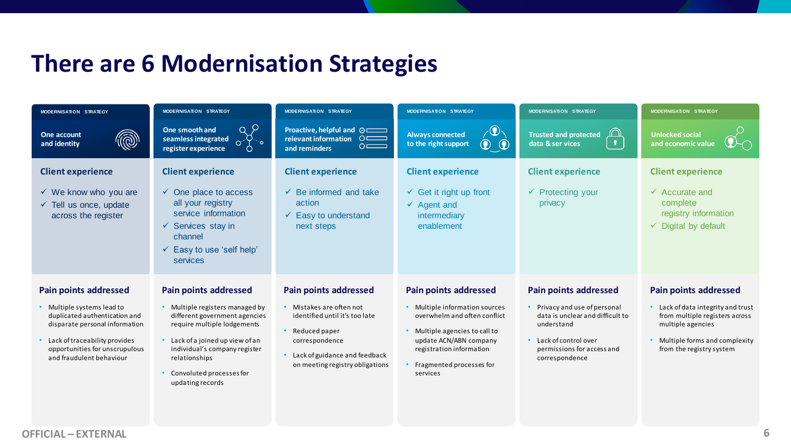### **There are 6 Modernisation Strategies**

| MODERNISATION STRATEGY                                                                                                                                                                       | <b>MODERNISATION STRATEGY</b>                                                                                                                                                                                                         | <b>MODERNISATION STRATEGY</b>                                                                                                                                     | <b>MODERNISATION STRATEGY</b>                                                                                                                                                                | MODERNISATION STRATEGY                                                                                                                                    | <b>MODERNISATION STRATEGY</b>                                                                                                                        |  |
|----------------------------------------------------------------------------------------------------------------------------------------------------------------------------------------------|---------------------------------------------------------------------------------------------------------------------------------------------------------------------------------------------------------------------------------------|-------------------------------------------------------------------------------------------------------------------------------------------------------------------|----------------------------------------------------------------------------------------------------------------------------------------------------------------------------------------------|-----------------------------------------------------------------------------------------------------------------------------------------------------------|------------------------------------------------------------------------------------------------------------------------------------------------------|--|
| @<br>One account<br>and identity                                                                                                                                                             | a P<br>One smooth and<br>seamless integrated<br>$\mathbb{S}^{\mathbb{S}^*}$<br>register experience                                                                                                                                    | Proactive, helpful and $\odot$<br>relevant information O<br>$\circ$ $\equiv$<br>and reminders                                                                     | $\mathbf{Q}_{\setminus}$<br><b>Always connected</b><br>$\odot$<br>to the right support<br>$\circledcirc$                                                                                     | ∩<br><b>Trusted and protected</b><br>$\mathbf{r}$<br>data & ser vices                                                                                     | <b>Unlocked social</b><br>and economic value                                                                                                         |  |
| <b>Client experience</b><br>$\checkmark$ We know who you are                                                                                                                                 | <b>Client experience</b><br>$\checkmark$ One place to access<br>all your registry                                                                                                                                                     | <b>Client experience</b><br>$\checkmark$ Be informed and take<br>action                                                                                           | <b>Client experience</b><br>$\checkmark$ Get it right up front                                                                                                                               | <b>Client experience</b><br>$\checkmark$ Protecting your<br>privacy                                                                                       | <b>Client experience</b><br>$\checkmark$ Accurate and<br>complete                                                                                    |  |
| $\checkmark$ Tell us once, update<br>across the register                                                                                                                                     | service information<br>$\checkmark$ Services stay in<br>channel<br>$\checkmark$ Easy to use 'self help'<br>services                                                                                                                   | $\checkmark$ Easy to understand<br>next steps                                                                                                                     | $\checkmark$ Agent and<br>intermediary<br>enablement                                                                                                                                         |                                                                                                                                                           | registry information<br>Digital by default<br>$\checkmark$                                                                                           |  |
| <b>Pain points addressed</b>                                                                                                                                                                 | <b>Pain points addressed</b>                                                                                                                                                                                                          | <b>Pain points addressed</b>                                                                                                                                      | <b>Pain points addressed</b>                                                                                                                                                                 | <b>Pain points addressed</b>                                                                                                                              | <b>Pain points addressed</b>                                                                                                                         |  |
| • Multiple systems lead to<br>duplicated authentication and<br>disparate personal information<br>Lack of traceability provides<br>opportunities for unscrupulous<br>and fraudulent behaviour | • Multiple registers managed by<br>different government agencies<br>require multiple lodgements<br>• Lack of a joined up view of an<br>individual's company register<br>relationships<br>Convoluted processes for<br>updating records | • Mistakes are often not<br>identified until it's too late<br>Reduced paper<br>correspondence<br>Lack of guidance and feedback<br>on meeting registry obligations | • Multiple information sources<br>overwhelm and often conflict<br>Multiple agencies to call to<br>update ACN/ABN company<br>registration information<br>Fragmented processes for<br>services | • Privacy and use of personal<br>data is unclear and difficult to<br>understand<br>• Lack of control over<br>permissions for access and<br>correspondence | Lack of data integrity and trust<br>from multiple registers across<br>multiple agencies<br>Multiple forms and complexity<br>from the registry system |  |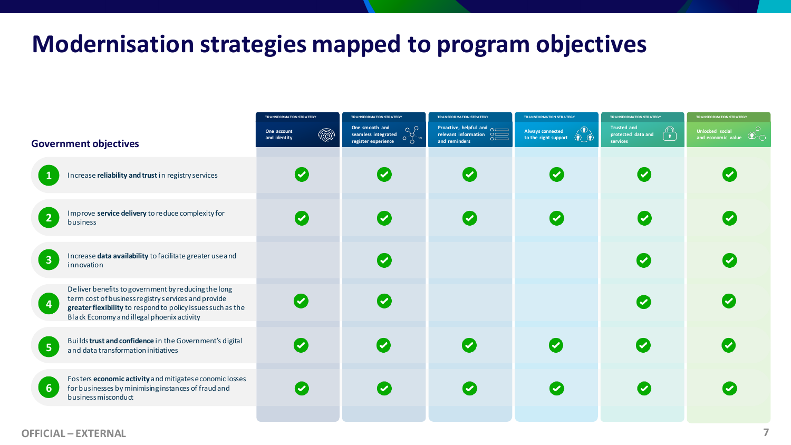### **Modernisation strategies mapped to program objectives**

|                              |                                                                                                                                                                                                                         | <b>TRANSFORMATION STRATEGY</b><br><b>TRANSFORMATION STRATEGY</b> |                                                                                         | <b>TRANSFORMATION STRATEGY</b><br><b>TRANSFORMATION STRATEGY</b> |                                                                                          | <b>TRANSFORMATION STRATEGY</b><br><b>TRANSFORMATION STRATEGY</b>    |                                                        |
|------------------------------|-------------------------------------------------------------------------------------------------------------------------------------------------------------------------------------------------------------------------|------------------------------------------------------------------|-----------------------------------------------------------------------------------------|------------------------------------------------------------------|------------------------------------------------------------------------------------------|---------------------------------------------------------------------|--------------------------------------------------------|
| <b>Government objectives</b> |                                                                                                                                                                                                                         | <br>One account<br>and identity                                  | One smooth and<br>$\frac{1}{\sqrt[3]{2}}$<br>seamless integrated<br>register experience | and reminders                                                    | $\chi$ (2)<br>Always connected<br>to the right support $\quad \circledR \quad \circledR$ | <b>Trusted and</b><br>$\bigoplus$<br>protected data and<br>services | Unlocked social<br>and economic value $\bigcircled{D}$ |
|                              | Increase reliability and trust in registry services                                                                                                                                                                     |                                                                  |                                                                                         | $\overline{\mathcal{S}}$                                         | <b>V</b>                                                                                 | $\overline{\mathsf{v}}$                                             |                                                        |
| $\overline{2}$               | Improve service delivery to reduce complexity for<br>business                                                                                                                                                           |                                                                  | $\overline{\mathbf{v}}$                                                                 | $\overline{\mathcal{S}}$                                         |                                                                                          | $\bullet$                                                           |                                                        |
| $\overline{\mathbf{3}}$      | Increase data availability to facilitate greater use and<br>innovation                                                                                                                                                  |                                                                  | $\overline{\mathcal{S}}$                                                                |                                                                  |                                                                                          | $\overline{\mathbf{C}}$                                             |                                                        |
| $\overline{4}$               | Deliver benefits to government by reducing the long<br>term cost of business registry services and provide<br>greater flexibility to respond to policy issues such as the<br>Black Economy and illegal phoenix activity |                                                                  | $\overline{\mathcal{S}}$                                                                |                                                                  |                                                                                          | $\overline{\mathcal{L}}$                                            |                                                        |
| $5\phantom{1}$               | Builds trust and confidence in the Government's digital<br>and data transformation initiatives                                                                                                                          | $\bullet$                                                        | $\overline{\mathcal{C}}$                                                                | $\bullet$                                                        | $\boldsymbol{\sigma}$                                                                    | $\overline{\mathcal{L}}$                                            | (V                                                     |
| 6 <sup>1</sup>               | Fosters economic activity and mitigates e conomic losses<br>for businesses by minimising instances of fraud and<br>business misconduct                                                                                  | $\overline{\mathcal{S}}$                                         | <b>V</b>                                                                                | $\bullet$                                                        |                                                                                          | $\overline{\mathbf{C}}$                                             |                                                        |
|                              |                                                                                                                                                                                                                         |                                                                  |                                                                                         |                                                                  |                                                                                          |                                                                     |                                                        |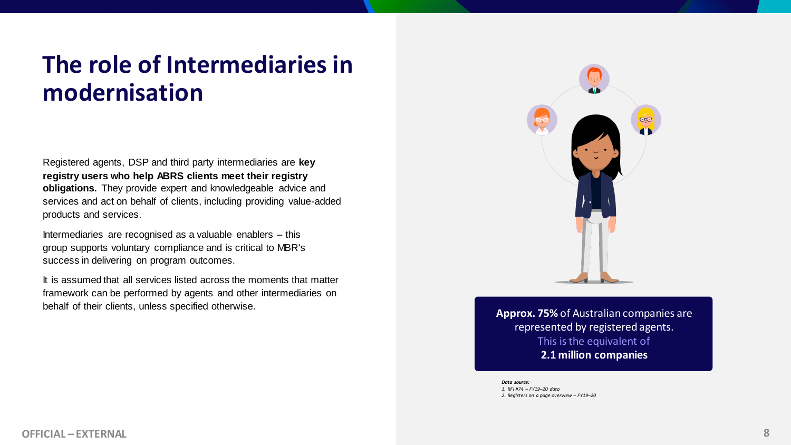## **The role of Intermediaries in modernisation**

Registered agents, DSP and third party intermediaries are **key registry users who help ABRS clients meet their registry obligations.** They provide expert and knowledgeable advice and services and act on behalf of clients, including providing value-added products and services.

Intermediaries are recognised as a valuable enablers – this group supports voluntary compliance and is critical to MBR's success in delivering on program outcomes.

It is assumed that all services listed across the moments that matter framework can be performed by agents and other intermediaries on behalf of their clients, unless specified otherwise.



**Approx. 75%** of Australian companies are represented by registered agents. This is the equivalent of **2.1 million companies**

*Data source: 1. RFI #74 – FY19–20 data 2. Registers on a page overview – FY19–20*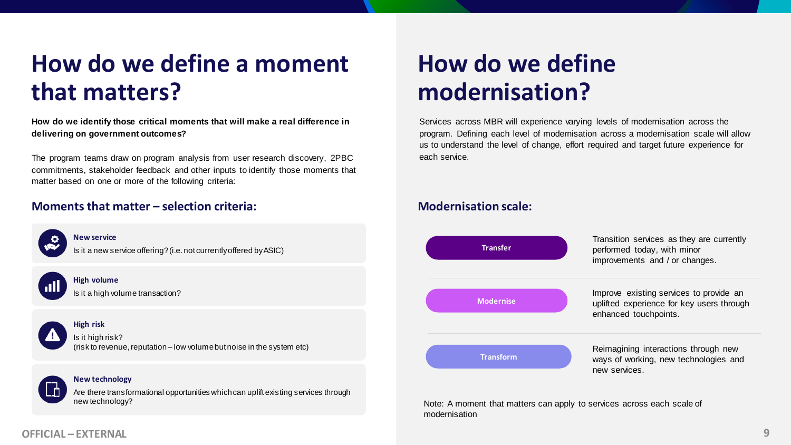## **How do we define a moment that matters?**

**How do we identify those critical moments that will make a real difference in delivering on government outcomes?**

The program teams draw on program analysis from user research discovery, 2PBC commitments, stakeholder feedback and other inputs to identify those moments that matter based on one or more of the following criteria:

#### **Moments that matter – selection criteria:**



Are there transformational opportunities which can uplift existing services through new technology?

## **How do we define modernisation?**

Services across MBR will experience varying levels of modernisation across the program. Defining each level of modernisation across a modernisation scale will allow us to understand the level of change, effort required and target future experience for each service.

### **Modernisation scale:**



Note: A moment that matters can apply to services across each scale of modernisation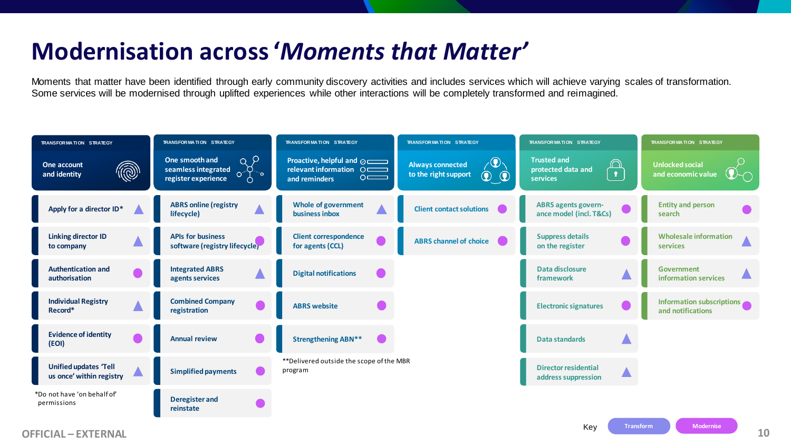## **Modernisation across '***Moments that Matter'*

Moments that matter have been identified through early community discovery activities and includes services which will achieve varying scales of transformation. Some services will be modernised through uplifted experiences while other interactions will be completely transformed and reimagined.

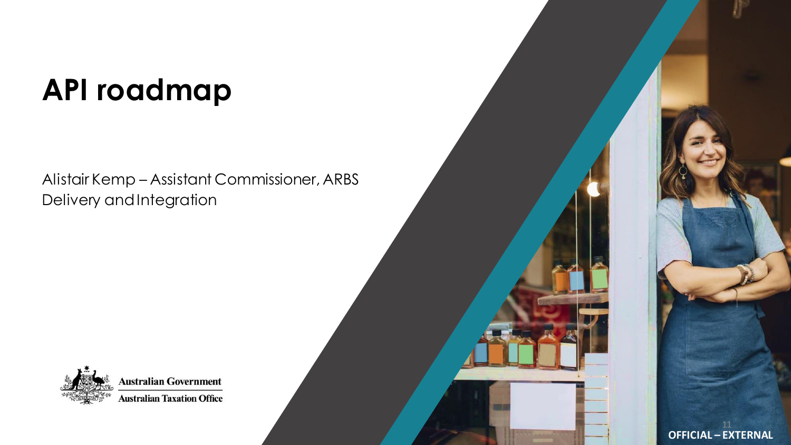# **API roadmap**

Alistair Kemp – Assistant Commissioner, ARBS Delivery and Integration



**Australian Government Australian Taxation Office**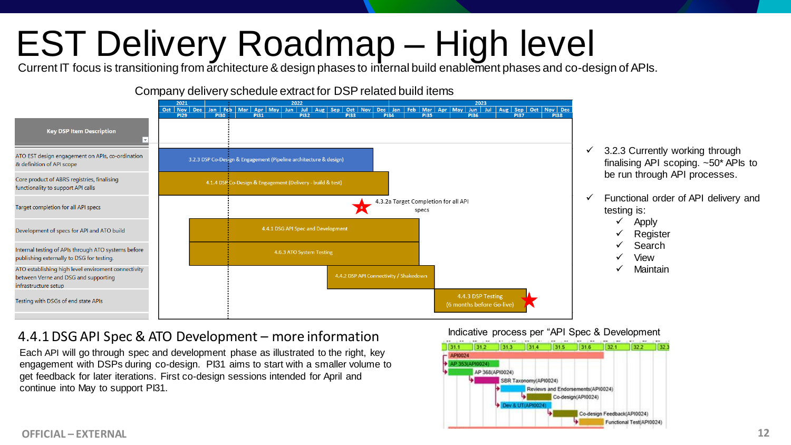# EST Delivery Roadmap – High level

Current IT focus is transitioning from architecture & design phases to internal build enablement phases and co-design of APIs.

#### Company delivery schedule extract for DSP related build items



- $\checkmark$  3.2.3 Currently working through finalising API scoping. ~50\* APIs to be run through API processes.
- $\checkmark$  Functional order of API delivery and testing is:
	- ✓ Apply
	- **Register**
	- **Search**
	- View
	- **Maintain**

### 4.4.1 DSG API Spec & ATO Development – more information

Each API will go through spec and development phase as illustrated to the right, key engagement with DSPs during co-design. PI31 aims to start with a smaller volume to get feedback for later iterations. First co-design sessions intended for April and continue into May to support PI31.

Indicative process per "API Spec & Development

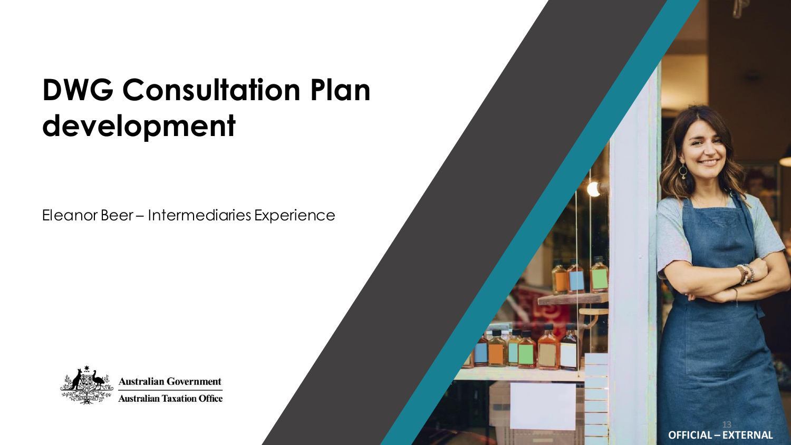## **DWG Consultation Plan development**

Eleanor Beer – Intermediaries Experience



**Australian Government Australian Taxation Office**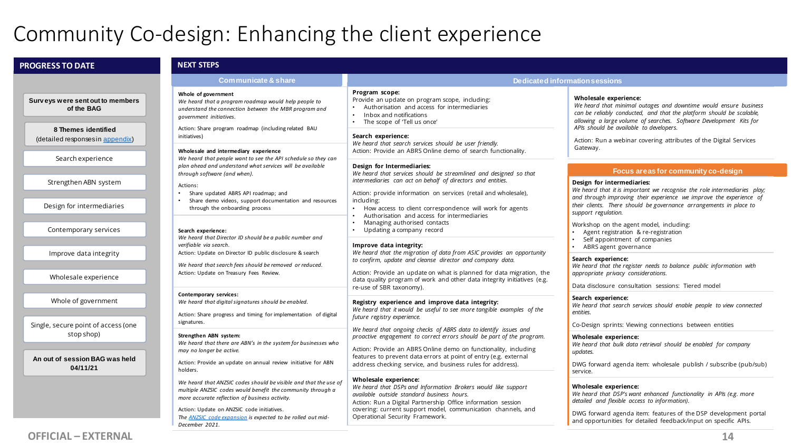### Community Co-design: Enhancing the client experience

| <b>PROGRESS TO DATE</b>                                  | <b>NEXT STEPS</b>                                                                                                                                                                                                                                                                                                |                                                                                                                                                                                                                                                                                                         |                                                                                                                                                                                                                                                                                                                                                                                                                         |  |
|----------------------------------------------------------|------------------------------------------------------------------------------------------------------------------------------------------------------------------------------------------------------------------------------------------------------------------------------------------------------------------|---------------------------------------------------------------------------------------------------------------------------------------------------------------------------------------------------------------------------------------------------------------------------------------------------------|-------------------------------------------------------------------------------------------------------------------------------------------------------------------------------------------------------------------------------------------------------------------------------------------------------------------------------------------------------------------------------------------------------------------------|--|
|                                                          | <b>Communicate &amp; share</b>                                                                                                                                                                                                                                                                                   |                                                                                                                                                                                                                                                                                                         | <b>Dedicated information sessions</b>                                                                                                                                                                                                                                                                                                                                                                                   |  |
| Surveys were sent out to members<br>of the BAG           | Whole of government<br>We heard that a program roadmap would help people to<br>understand the connection between the MBR program and<br>government initiatives.                                                                                                                                                  | Program scope:<br>Provide an update on program scope, including:<br>Authorisation and access for intermediaries<br>$\bullet$<br>Inbox and notifications<br>$\bullet$<br>• The scope of 'Tell us once'                                                                                                   | Wholesale experience:<br>We heard that minimal outages and downtime would ensure business<br>can be reliably conducted, and that the platform should be scalable,<br>allowing a large volume of searches. Software Development Kits for<br>APIs should be available to developers.                                                                                                                                      |  |
| 8 Themes identified<br>(detailed responses in appendix)  | Action: Share program roadmap (including related BAU<br>initiatives)<br>Wholesale and intermediary experience                                                                                                                                                                                                    | Search experience:<br>We heard that search services should be user friendly.<br>Action: Provide an ABRS Online demo of search functionality.                                                                                                                                                            | Action: Run a webinar covering attributes of the Digital Services<br>Gateway.                                                                                                                                                                                                                                                                                                                                           |  |
| Search experience                                        | We heard that people want to see the API schedule so they can<br>plan ahead and understand what services will be available                                                                                                                                                                                       | Design for Intermediaries:<br>We heard that services should be streamlined and designed so that                                                                                                                                                                                                         | Focus areas for community co-design                                                                                                                                                                                                                                                                                                                                                                                     |  |
| Strengthen ABN system                                    | through software (and when).<br>Actions:<br>Share updated ABRS API roadmap; and                                                                                                                                                                                                                                  | intermediaries can act on behalf of directors and entities.<br>Action: provide information on services (retail and wholesale),                                                                                                                                                                          | Design for intermediaries:<br>We heard that it is important we recognise the role intermediaries play;<br>and through improving their experience we improve the experience of<br>their clients. There should be governance arrangements in place to<br>support regulation.<br>Workshop on the agent model, including:<br>Agent registration & re-registration<br>Self appointment of companies<br>ABRS agent governance |  |
| Design for intermediaries                                | Share demo videos, support documentation and resources<br>through the onboarding process                                                                                                                                                                                                                         | including:<br>• How access to client correspondence will work for agents<br>Authorisation and access for intermediaries<br>Managing authorised contacts<br>$\bullet$                                                                                                                                    |                                                                                                                                                                                                                                                                                                                                                                                                                         |  |
| Contemporary services                                    | Search experience:<br>We heard that Director ID should be a public number and<br>verifiable via search.                                                                                                                                                                                                          | Updating a company record<br>Improve data integrity:                                                                                                                                                                                                                                                    |                                                                                                                                                                                                                                                                                                                                                                                                                         |  |
| Improve data integrity                                   | Action: Update on Director ID public disclosure & search<br>We heard that search fees should be removed or reduced.<br>Action: Update on Treasury Fees Review.                                                                                                                                                   | We heard that the migration of data from ASIC provides an opportunity<br>to confirm, update and cleanse director and company data.<br>Action: Provide an update on what is planned for data migration, the                                                                                              | Search experience:<br>We heard that the register needs to balance public information with                                                                                                                                                                                                                                                                                                                               |  |
| Wholesale experience                                     |                                                                                                                                                                                                                                                                                                                  | data quality program of work and other data integrity initiatives (e.g.<br>re-use of SBR taxonomy).                                                                                                                                                                                                     | appropriate privacy considerations.<br>Data disclosure consultation sessions: Tiered model                                                                                                                                                                                                                                                                                                                              |  |
| Whole of government                                      | Contemporary services:<br>We heard that digital signatures should be enabled.<br>Action: Share progress and timing for implementation of digital                                                                                                                                                                 | Registry experience and improve data integrity:<br>We heard that it would be useful to see more tangible examples of the<br>future registry experience.                                                                                                                                                 | Search experience:<br>We heard that search services should enable people to view connected<br>entities.                                                                                                                                                                                                                                                                                                                 |  |
| Single, secure point of access (one                      | signatures.                                                                                                                                                                                                                                                                                                      | We heard that ongoing checks of ABRS data to identify issues and                                                                                                                                                                                                                                        | Co-Design sprints: Viewing connections between entities                                                                                                                                                                                                                                                                                                                                                                 |  |
| stop shop)<br>An out of session BAG was held<br>04/11/21 | Strengthen ABN system:<br>We heard that there are ABN's in the system for businesses who<br>may no longer be active.<br>Action: Provide an update on annual review initiative for ABN<br>holders.                                                                                                                | proactive engagement to correct errors should be part of the program.<br>Action: Provide an ABRS Online demo on functionality, including<br>features to prevent data errors at point of entry (e.g. external<br>address checking service, and business rules for address).                              | Wholesale experience:<br>We heard that bulk data retrieval should be enabled for company<br>updates.<br>DWG forward agenda item: wholesale publish / subscribe (pub/sub)<br>service.                                                                                                                                                                                                                                    |  |
|                                                          | We heard that ANZSIC codes should be visible and that the use of<br>multiple ANZSIC codes would benefit the community through a<br>more accurate reflection of business activity.<br>Action: Update on ANZSIC code initiatives.<br>The ANZSIC code expansion is expected to be rolled out mid-<br>December 2021. | Wholesale experience:<br>We heard that DSPs and Information Brokers would like support<br>available outside standard business hours.<br>Action: Run a Digital Partnership Office information session<br>covering: current support model, communication channels, and<br>Operational Security Framework. | Wholesale experience:<br>We heard that DSP's want enhanced functionality in APIs (e.g. more<br>detailed and flexible access to information).<br>DWG forward agenda item: features of the DSP development portal<br>and opportunities for detailed feedback/input on specific APIs.                                                                                                                                      |  |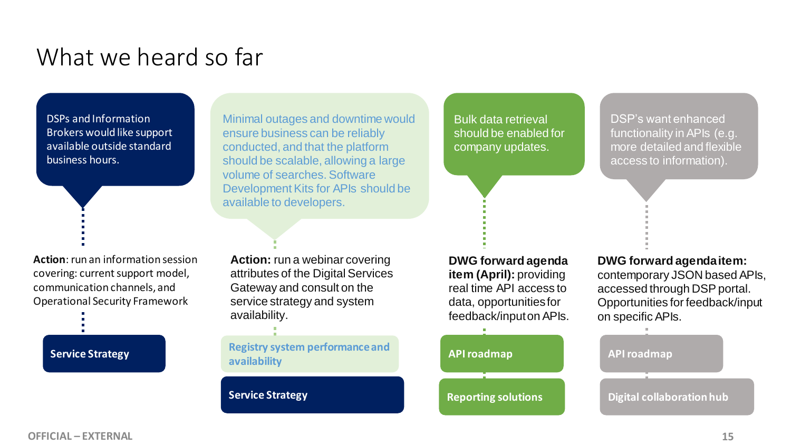## What we heard so far

DSPs and Information Brokers would like support available outside standard business hours.

**Action**: run an information session covering: current support model, communication channels, and Operational Security Framework

Minimal outages and downtime would ensure business can be reliably conducted, and that the platform should be scalable, allowing a large volume of searches. Software Development Kits for APIs should be available to developers.

Bulk data retrieval should be enabled for company updates.

DSP's want enhanced functionality in APIs (e.g. more detailed and flexible access to information).

**Action:** run a webinar covering attributes of the Digital Services Gateway and consult on the service strategy and system availability.

**availability**

**Service Strategy**

**DWG forward agenda item (April):** providing real time API access to data, opportunities for feedback/input on APIs.



**DWG forward agenda item:**  contemporary JSON based APIs, accessed through DSP portal. Opportunities for feedback/input on specific APIs.

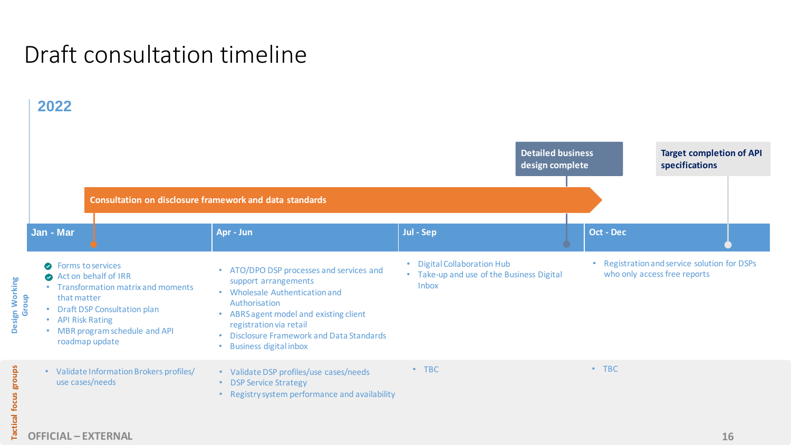## Draft consultation timeline

### **2022**

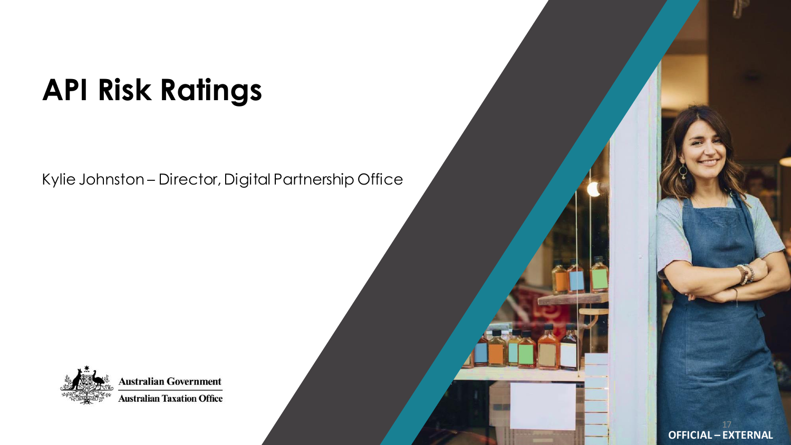# **API Risk Ratings**

Kylie Johnston – Director, Digital Partnership Office



**Australian Government Australian Taxation Office**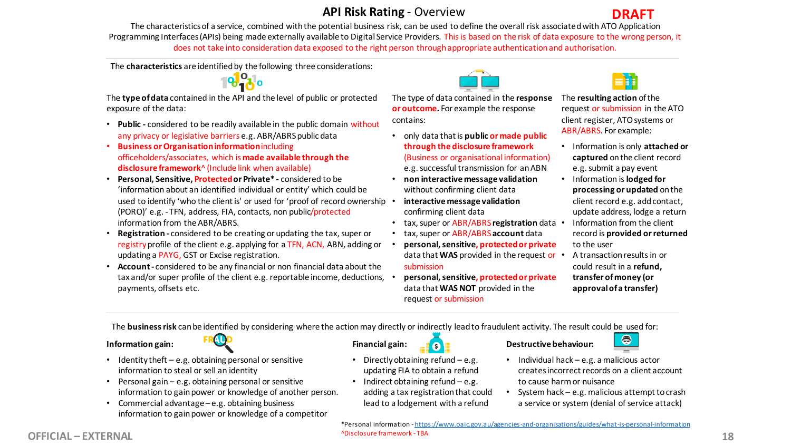### **API Risk Rating** - Overview



The characteristics of a service, combined with the potential business risk, can be used to define the overall risk associated with ATO Application Programming Interfaces (APIs) being made externally available to Digital Service Providers. This is based on the risk of data exposure to the wrong person, it does not take into consideration data exposed to the right person through appropriate authentication and authorisation.

The **characteristics** are identified by the following three considerations:



The **type of data** contained in the API and the level of public or protected exposure of the data:

- **Public -** considered to be readily available in the public domain without any privacy or legislative barriers e.g. ABR/ABRS public data
- **Business or Organisation information** including officeholders/associates, which is **made available through the disclosure framework**^ (Include link when available)
- **Personal, Sensitive, Protected or Private\* -** considered to be 'information about an identified individual or entity' which could be used to identify 'who the client is' or used for 'proof of record ownership . (PORO)' e.g. - TFN, address, FIA, contacts, non public/protected information from the ABR/ABRS.
- **Registration -** considered to be creating or updating the tax, super or registry profile of the client e.g. applying for a TFN, ACN, ABN, adding or updating a PAYG, GST or Excise registration.
- **Account -** considered to be any financial or non financial data about the tax and/or super profile of the client e.g. reportable income, deductions, payments, offsets etc.

The type of data contained in the **response or outcome.** For example the response contains:

- only data that is **public or made public through the disclosure framework**  (Business or organisational information) e.g. successful transmission for an ABN
- **non interactive message validation**  without confirming client data
- **interactive message validation**  confirming client data
- tax, super or ABR/ABRS **registration** data
- tax, super or ABR/ABRS**account** data
- **personal, sensitive, protected or private**  data that **WAS** provided in the request or submission
- **personal, sensitive, protected or private**  data that **WAS NOT** provided in the request or submission



The **resulting action** of the request or submission in the ATO client register, ATO systems or ABR/ABRS. For example:

- Information is only **attached or captured** on the client record e.g. submit a pay event
- Information is **lodged for processing or updated** on the client record e.g. add contact, update address, lodge a return
- Information from the client record is **provided or returned** to the user
- A transaction results in or could result in a **refund, transfer of money (or approval of a transfer)**

The **business risk** can be identified by considering where the action may directly or indirectly lead to fraudulent activity. The result could be used for:

#### **Information gain:**



- Identity theft  $-e.g.$  obtaining personal or sensitive information to steal or sell an identity
- Personal gain e.g. obtaining personal or sensitive information to gain power or knowledge of another person.
- Commercial advantage e.g. obtaining business information to gain power or knowledge of a competitor

#### **Financial gain:**

- Directly obtaining refund e.g. updating FIA to obtain a refund
- Indirect obtaining refund e.g. adding a tax registration that could lead to a lodgement with a refund

 $\bullet$ 

#### **Destructive behaviour:**



- Individual hack e.g. a malicious actor creates incorrect records on a client account to cause harm or nuisance
- System hack e.g. malicious attempt to crash a service or system (denial of service attack)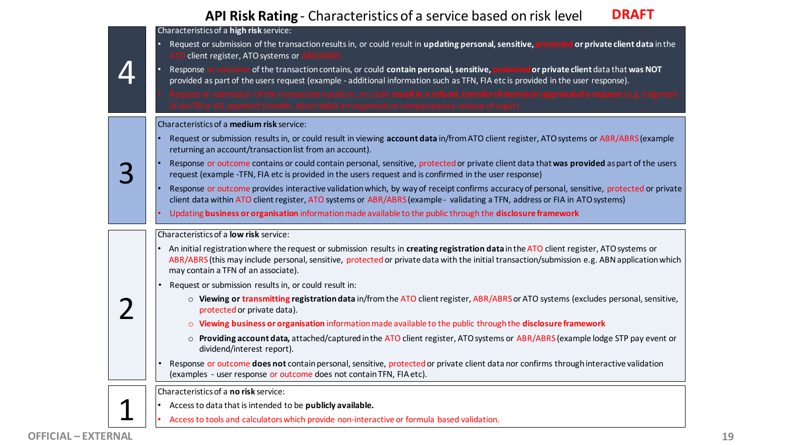#### **API Risk Rating** - Characteristics of a service based on risk level **DRAFT**

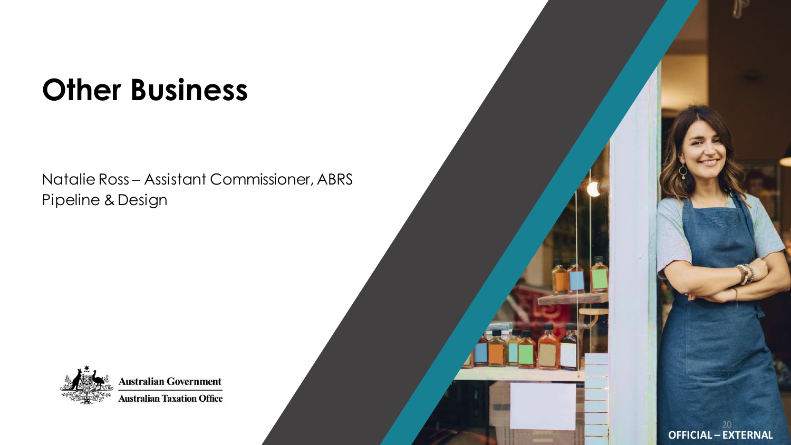# **Other Business**

Natalie Ross – Assistant Commissioner, ABRS Pipeline & Design



**Australian Government Australian Taxation Office**